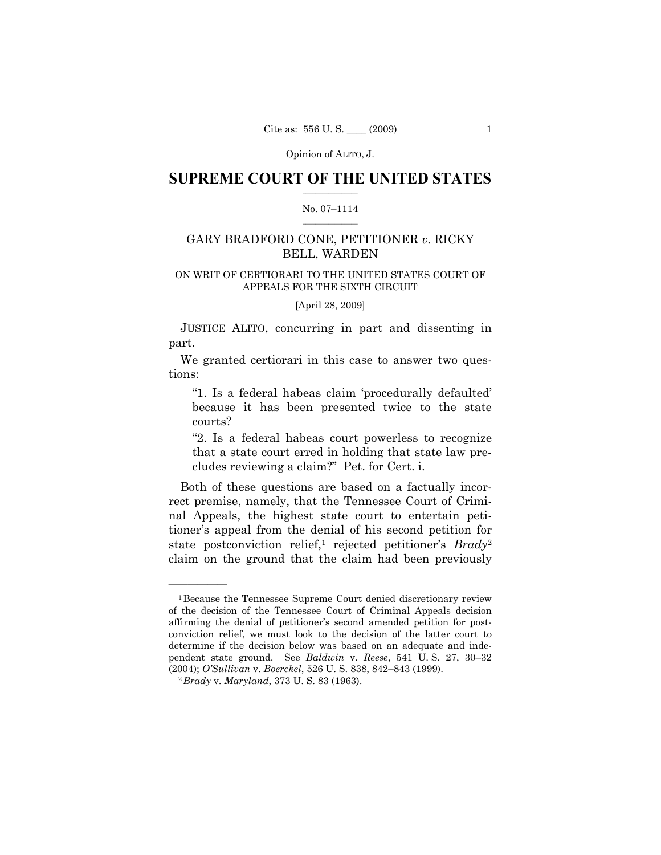### **SUPREME COURT OF THE UNITED STATES**  $\frac{1}{2}$  ,  $\frac{1}{2}$  ,  $\frac{1}{2}$  ,  $\frac{1}{2}$  ,  $\frac{1}{2}$  ,  $\frac{1}{2}$  ,  $\frac{1}{2}$

#### No. 07–1114  $\frac{1}{2}$  ,  $\frac{1}{2}$  ,  $\frac{1}{2}$  ,  $\frac{1}{2}$  ,  $\frac{1}{2}$  ,  $\frac{1}{2}$

## GARY BRADFORD CONE, PETITIONER *v.* RICKY BELL, WARDEN

### ON WRIT OF CERTIORARI TO THE UNITED STATES COURT OF APPEALS FOR THE SIXTH CIRCUIT

[April 28, 2009]

 JUSTICE ALITO, concurring in part and dissenting in part.

 We granted certiorari in this case to answer two questions:

"1. Is a federal habeas claim 'procedurally defaulted' because it has been presented twice to the state courts?

"2. Is a federal habeas court powerless to recognize that a state court erred in holding that state law precludes reviewing a claim?" Pet. for Cert. i.

 Both of these questions are based on a factually incorrect premise, namely, that the Tennessee Court of Criminal Appeals, the highest state court to entertain petitioner's appeal from the denial of his second petition for state postconviction relief,<sup>1</sup> rejected petitioner's *Brady*<sup>2</sup> claim on the ground that the claim had been previously

<sup>1</sup>Because the Tennessee Supreme Court denied discretionary review of the decision of the Tennessee Court of Criminal Appeals decision affirming the denial of petitioner's second amended petition for postconviction relief, we must look to the decision of the latter court to determine if the decision below was based on an adequate and independent state ground. See *Baldwin* v. *Reese*, 541 U. S. 27, 30–32 (2004); *O'Sullivan* v. *Boerckel*, 526 U. S. 838, 842–843 (1999). 2*Brady* v. *Maryland*, 373 U. S. 83 (1963).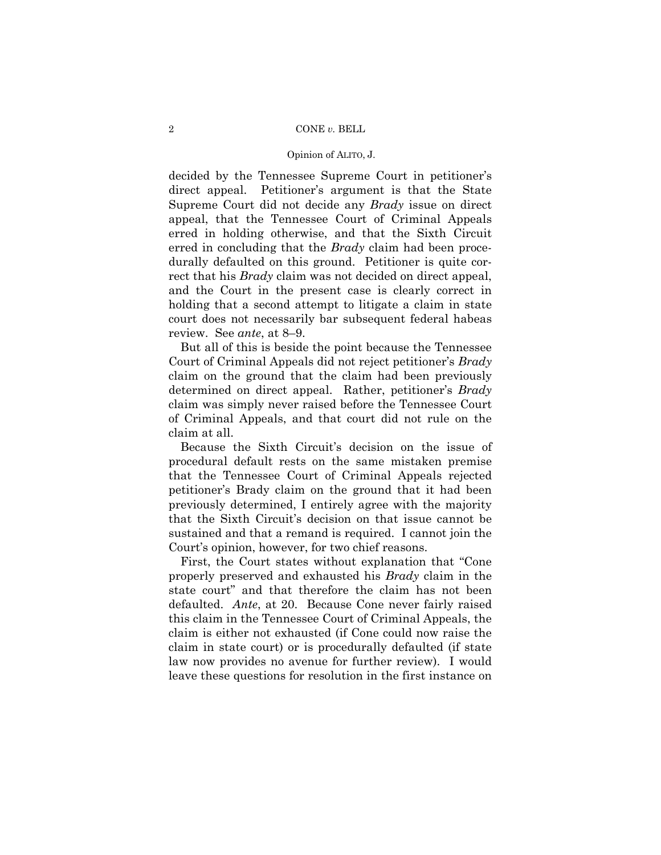#### 2 CONE *v.* BELL

#### Opinion of ALITO, J.

decided by the Tennessee Supreme Court in petitioner's direct appeal. Petitioner's argument is that the State Supreme Court did not decide any *Brady* issue on direct appeal, that the Tennessee Court of Criminal Appeals erred in holding otherwise, and that the Sixth Circuit erred in concluding that the *Brady* claim had been procedurally defaulted on this ground. Petitioner is quite correct that his *Brady* claim was not decided on direct appeal, and the Court in the present case is clearly correct in holding that a second attempt to litigate a claim in state court does not necessarily bar subsequent federal habeas review. See *ante*, at 8–9.

 But all of this is beside the point because the Tennessee Court of Criminal Appeals did not reject petitioner's *Brady*  claim on the ground that the claim had been previously determined on direct appeal. Rather, petitioner's *Brady*  claim was simply never raised before the Tennessee Court of Criminal Appeals, and that court did not rule on the claim at all.

 Because the Sixth Circuit's decision on the issue of procedural default rests on the same mistaken premise that the Tennessee Court of Criminal Appeals rejected petitioner's Brady claim on the ground that it had been previously determined, I entirely agree with the majority that the Sixth Circuit's decision on that issue cannot be sustained and that a remand is required. I cannot join the Court's opinion, however, for two chief reasons.

 First, the Court states without explanation that "Cone properly preserved and exhausted his *Brady* claim in the state court" and that therefore the claim has not been defaulted. *Ante*, at 20. Because Cone never fairly raised this claim in the Tennessee Court of Criminal Appeals, the claim is either not exhausted (if Cone could now raise the claim in state court) or is procedurally defaulted (if state law now provides no avenue for further review). I would leave these questions for resolution in the first instance on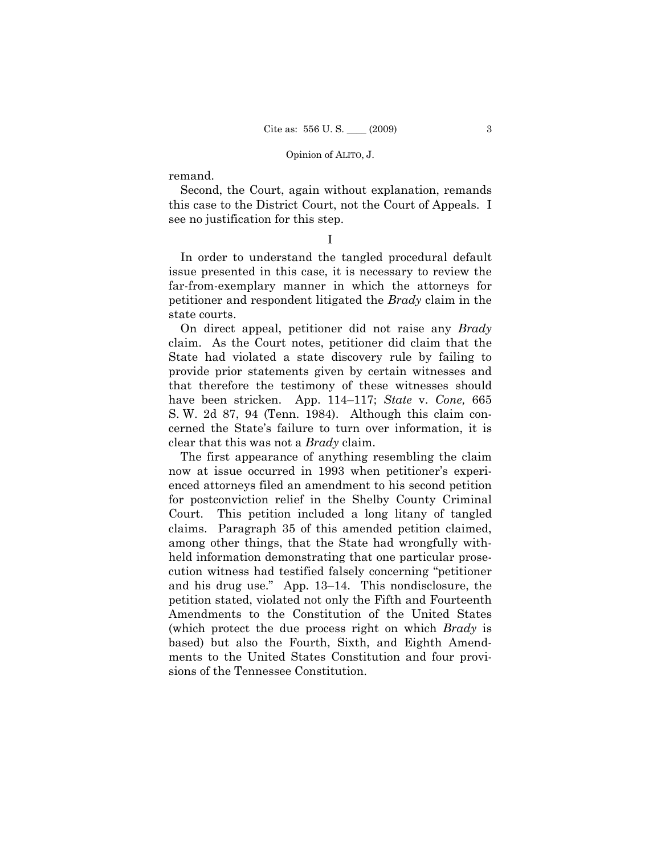remand.

 Second, the Court, again without explanation, remands this case to the District Court, not the Court of Appeals. I see no justification for this step.

I

 In order to understand the tangled procedural default issue presented in this case, it is necessary to review the far-from-exemplary manner in which the attorneys for petitioner and respondent litigated the *Brady* claim in the state courts.

 On direct appeal, petitioner did not raise any *Brady*  claim. As the Court notes, petitioner did claim that the State had violated a state discovery rule by failing to provide prior statements given by certain witnesses and that therefore the testimony of these witnesses should have been stricken. App. 114–117; *State* v. *Cone,* 665 S. W. 2d 87, 94 (Tenn. 1984). Although this claim concerned the State's failure to turn over information, it is clear that this was not a *Brady* claim.

 The first appearance of anything resembling the claim now at issue occurred in 1993 when petitioner's experienced attorneys filed an amendment to his second petition for postconviction relief in the Shelby County Criminal Court. This petition included a long litany of tangled claims. Paragraph 35 of this amended petition claimed, among other things, that the State had wrongfully withheld information demonstrating that one particular prosecution witness had testified falsely concerning "petitioner and his drug use." App. 13–14. This nondisclosure, the petition stated, violated not only the Fifth and Fourteenth Amendments to the Constitution of the United States (which protect the due process right on which *Brady* is based) but also the Fourth, Sixth, and Eighth Amendments to the United States Constitution and four provisions of the Tennessee Constitution.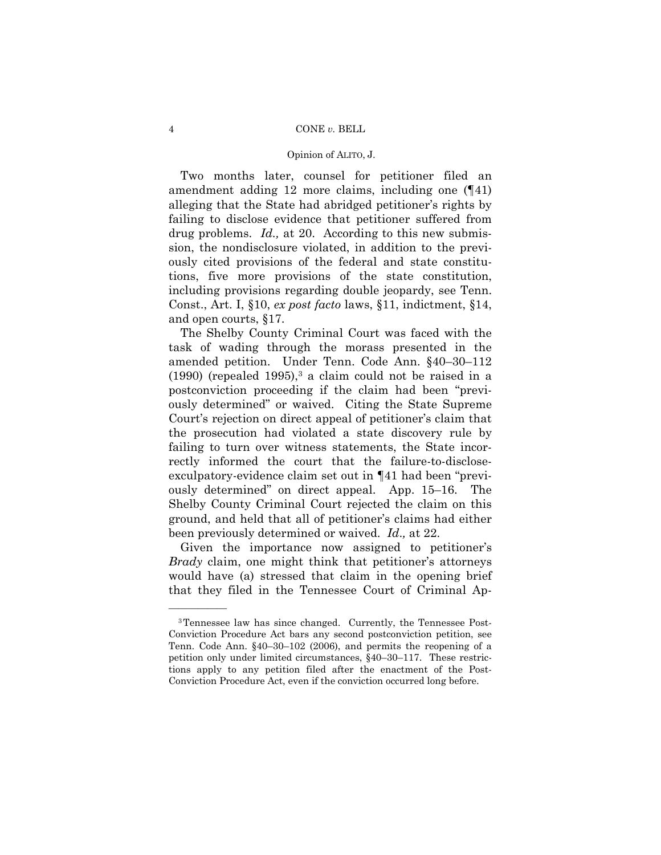#### 4 CONE *v.* BELL

#### Opinion of ALITO, J.

 Two months later, counsel for petitioner filed an amendment adding 12 more claims, including one (¶41) alleging that the State had abridged petitioner's rights by failing to disclose evidence that petitioner suffered from drug problems. *Id.,* at 20. According to this new submission, the nondisclosure violated, in addition to the previously cited provisions of the federal and state constitutions, five more provisions of the state constitution, including provisions regarding double jeopardy, see Tenn. Const., Art. I, §10, *ex post facto* laws, §11, indictment, §14, and open courts, §17.

 The Shelby County Criminal Court was faced with the task of wading through the morass presented in the amended petition. Under Tenn. Code Ann. §40–30–112  $(1990)$  (repealed 1995),<sup>3</sup> a claim could not be raised in a postconviction proceeding if the claim had been "previously determined" or waived. Citing the State Supreme Court's rejection on direct appeal of petitioner's claim that the prosecution had violated a state discovery rule by failing to turn over witness statements, the State incorrectly informed the court that the failure-to-discloseexculpatory-evidence claim set out in ¶41 had been "previously determined" on direct appeal. App. 15–16. The Shelby County Criminal Court rejected the claim on this ground, and held that all of petitioner's claims had either been previously determined or waived. *Id*.*,* at 22.

 Given the importance now assigned to petitioner's *Brady* claim, one might think that petitioner's attorneys would have (a) stressed that claim in the opening brief that they filed in the Tennessee Court of Criminal Ap-

<sup>3</sup>Tennessee law has since changed. Currently, the Tennessee Post-Conviction Procedure Act bars any second postconviction petition, see Tenn. Code Ann. §40–30–102 (2006), and permits the reopening of a petition only under limited circumstances, §40–30–117. These restrictions apply to any petition filed after the enactment of the Post-Conviction Procedure Act, even if the conviction occurred long before.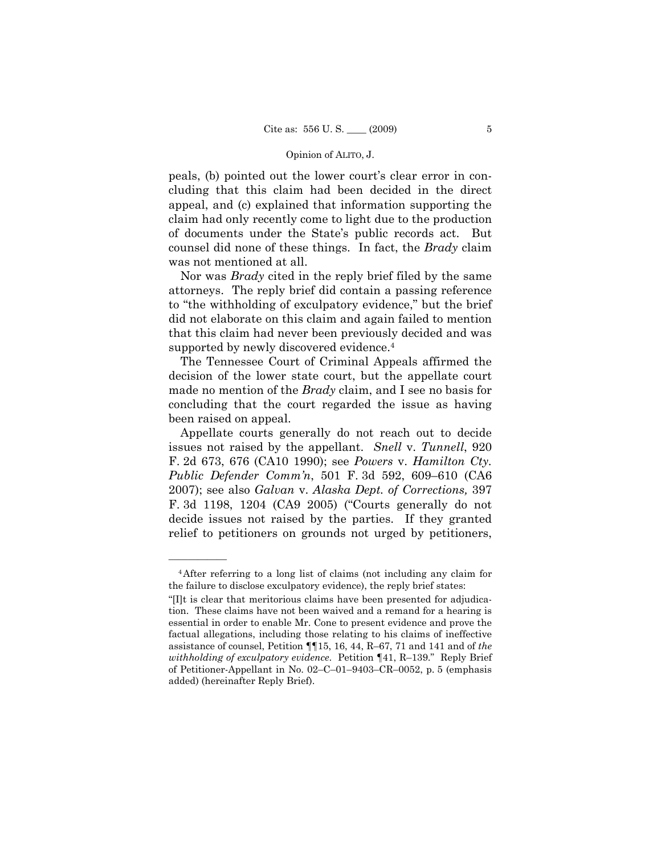peals, (b) pointed out the lower court's clear error in concluding that this claim had been decided in the direct appeal, and (c) explained that information supporting the claim had only recently come to light due to the production of documents under the State's public records act. But counsel did none of these things. In fact, the *Brady* claim was not mentioned at all.

 Nor was *Brady* cited in the reply brief filed by the same attorneys. The reply brief did contain a passing reference to "the withholding of exculpatory evidence," but the brief did not elaborate on this claim and again failed to mention that this claim had never been previously decided and was supported by newly discovered evidence.4

 The Tennessee Court of Criminal Appeals affirmed the decision of the lower state court, but the appellate court made no mention of the *Brady* claim, and I see no basis for concluding that the court regarded the issue as having been raised on appeal.

 Appellate courts generally do not reach out to decide issues not raised by the appellant. *Snell* v. *Tunnell*, 920 F. 2d 673, 676 (CA10 1990); see *Powers* v. *Hamilton Cty. Public Defender Comm'n*, 501 F. 3d 592, 609–610 (CA6 2007); see also *Galvan* v. *Alaska Dept. of Corrections,* 397 F. 3d 1198, 1204 (CA9 2005) ("Courts generally do not decide issues not raised by the parties. If they granted relief to petitioners on grounds not urged by petitioners,

<sup>4</sup>After referring to a long list of claims (not including any claim for the failure to disclose exculpatory evidence), the reply brief states:

<sup>&</sup>quot;[I]t is clear that meritorious claims have been presented for adjudication. These claims have not been waived and a remand for a hearing is essential in order to enable Mr. Cone to present evidence and prove the factual allegations, including those relating to his claims of ineffective assistance of counsel, Petition ¶¶15, 16, 44, R–67, 71 and 141 and of *the withholding of exculpatory evidence*. Petition ¶41, R–139." Reply Brief of Petitioner-Appellant in No. 02–C–01–9403–CR–0052, p. 5 (emphasis added) (hereinafter Reply Brief).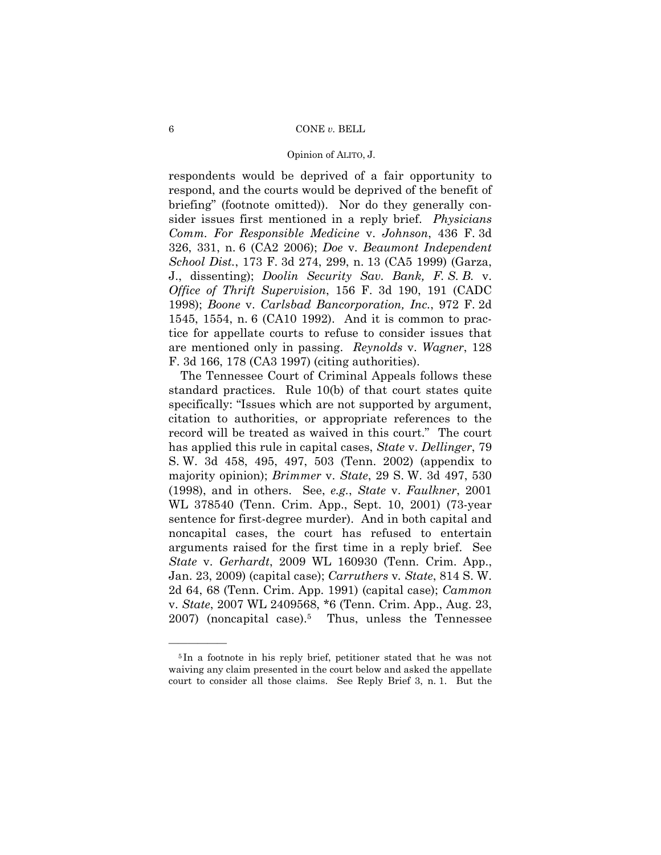respondents would be deprived of a fair opportunity to respond, and the courts would be deprived of the benefit of briefing" (footnote omitted)). Nor do they generally consider issues first mentioned in a reply brief. *Physicians Comm. For Responsible Medicine* v. *Johnson*, 436 F. 3d 326, 331, n. 6 (CA2 2006); *Doe* v. *Beaumont Independent School Dist.*, 173 F. 3d 274, 299, n. 13 (CA5 1999) (Garza, J., dissenting); *Doolin Security Sav. Bank, F. S. B.* v. *Office of Thrift Supervision*, 156 F. 3d 190, 191 (CADC 1998); *Boone* v. *Carlsbad Bancorporation, Inc.*, 972 F. 2d 1545, 1554, n. 6 (CA10 1992). And it is common to practice for appellate courts to refuse to consider issues that are mentioned only in passing. *Reynolds* v. *Wagner*, 128 F. 3d 166, 178 (CA3 1997) (citing authorities).

 The Tennessee Court of Criminal Appeals follows these standard practices. Rule 10(b) of that court states quite specifically: "Issues which are not supported by argument, citation to authorities, or appropriate references to the record will be treated as waived in this court." The court has applied this rule in capital cases, *State* v. *Dellinger*, 79 S. W. 3d 458, 495, 497, 503 (Tenn. 2002) (appendix to majority opinion); *Brimmer* v. *State*, 29 S. W. 3d 497, 530 (1998), and in others. See, *e.g.*, *State* v. *Faulkner*, 2001 WL 378540 (Tenn. Crim. App., Sept. 10, 2001) (73-year sentence for first-degree murder). And in both capital and noncapital cases, the court has refused to entertain arguments raised for the first time in a reply brief. See *State* v. *Gerhardt*, 2009 WL 160930 (Tenn. Crim. App., Jan. 23, 2009) (capital case); *Carruthers* v*. State*, 814 S. W. 2d 64, 68 (Tenn. Crim. App. 1991) (capital case); *Cammon* v. *State*, 2007 WL 2409568, \*6 (Tenn. Crim. App., Aug. 23, 2007) (noncapital case).<sup>5</sup> Thus, unless the Tennessee

<sup>5</sup> In a footnote in his reply brief, petitioner stated that he was not waiving any claim presented in the court below and asked the appellate court to consider all those claims. See Reply Brief 3, n. 1. But the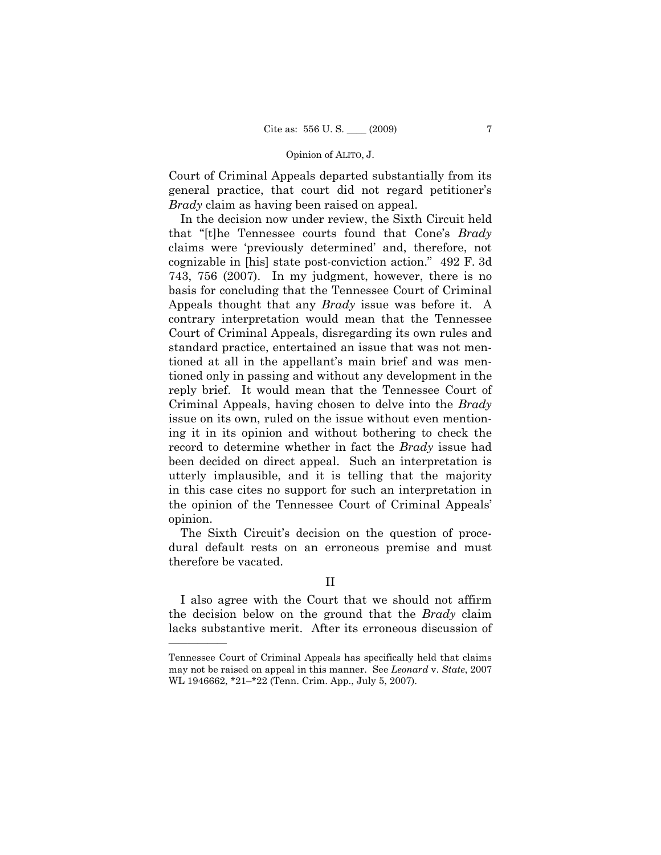Court of Criminal Appeals departed substantially from its general practice, that court did not regard petitioner's *Brady* claim as having been raised on appeal.

 In the decision now under review, the Sixth Circuit held that "[t]he Tennessee courts found that Cone's *Brady*  claims were 'previously determined' and, therefore, not cognizable in [his] state post-conviction action." 492 F. 3d 743, 756 (2007). In my judgment, however, there is no basis for concluding that the Tennessee Court of Criminal Appeals thought that any *Brady* issue was before it. A contrary interpretation would mean that the Tennessee Court of Criminal Appeals, disregarding its own rules and standard practice, entertained an issue that was not mentioned at all in the appellant's main brief and was mentioned only in passing and without any development in the reply brief. It would mean that the Tennessee Court of Criminal Appeals, having chosen to delve into the *Brady* issue on its own, ruled on the issue without even mentioning it in its opinion and without bothering to check the record to determine whether in fact the *Brady* issue had been decided on direct appeal. Such an interpretation is utterly implausible, and it is telling that the majority in this case cites no support for such an interpretation in the opinion of the Tennessee Court of Criminal Appeals' opinion.

 The Sixth Circuit's decision on the question of procedural default rests on an erroneous premise and must therefore be vacated.

## II

 I also agree with the Court that we should not affirm the decision below on the ground that the *Brady* claim lacks substantive merit. After its erroneous discussion of

Tennessee Court of Criminal Appeals has specifically held that claims may not be raised on appeal in this manner. See *Leonard* v. *State*, 2007 WL 1946662, \*21–\*22 (Tenn. Crim. App., July 5, 2007).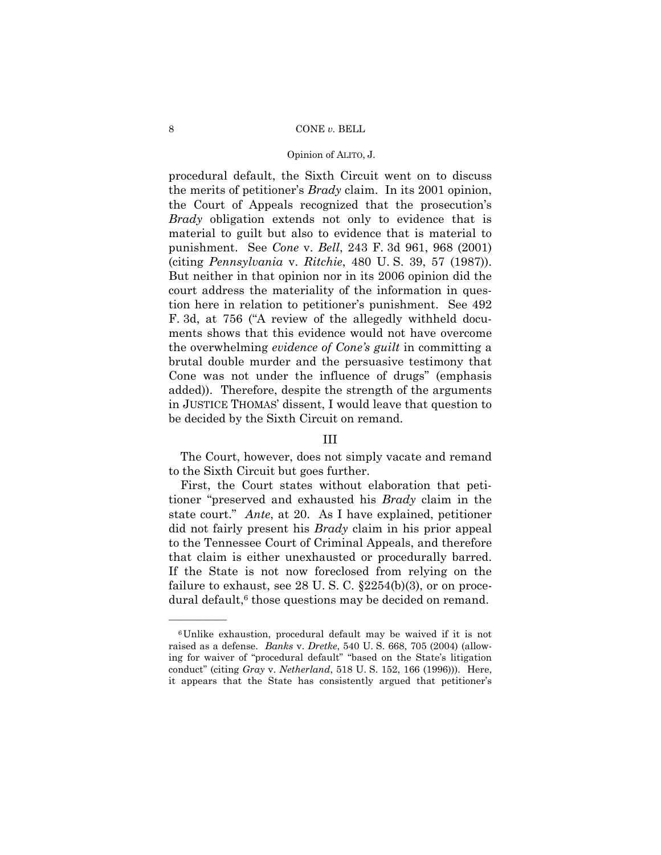#### 8 CONE *v*. BELL

#### Opinion of ALITO, J.

procedural default, the Sixth Circuit went on to discuss the merits of petitioner's *Brady* claim. In its 2001 opinion, the Court of Appeals recognized that the prosecution's *Brady* obligation extends not only to evidence that is material to guilt but also to evidence that is material to punishment. See *Cone* v. *Bell*, 243 F. 3d 961, 968 (2001) (citing *Pennsylvania* v. *Ritchie*, 480 U. S. 39, 57 (1987)). But neither in that opinion nor in its 2006 opinion did the court address the materiality of the information in question here in relation to petitioner's punishment. See 492 F. 3d, at 756 ("A review of the allegedly withheld documents shows that this evidence would not have overcome the overwhelming *evidence of Cone's guilt* in committing a brutal double murder and the persuasive testimony that Cone was not under the influence of drugs" (emphasis added)). Therefore, despite the strength of the arguments in JUSTICE THOMAS' dissent, I would leave that question to be decided by the Sixth Circuit on remand.

# III

 The Court, however, does not simply vacate and remand to the Sixth Circuit but goes further.

 First, the Court states without elaboration that petitioner "preserved and exhausted his *Brady* claim in the state court." *Ante*, at 20. As I have explained, petitioner did not fairly present his *Brady* claim in his prior appeal to the Tennessee Court of Criminal Appeals, and therefore that claim is either unexhausted or procedurally barred. If the State is not now foreclosed from relying on the failure to exhaust, see 28 U.S.C.  $\S 2254(b)(3)$ , or on procedural default,<sup>6</sup> those questions may be decided on remand.

<sup>6</sup>Unlike exhaustion, procedural default may be waived if it is not raised as a defense. *Banks* v. *Dretke*, 540 U. S. 668, 705 (2004) (allowing for waiver of "procedural default" "based on the State's litigation conduct" (citing *Gray* v. *Netherland*, 518 U. S. 152, 166 (1996))). Here, it appears that the State has consistently argued that petitioner's